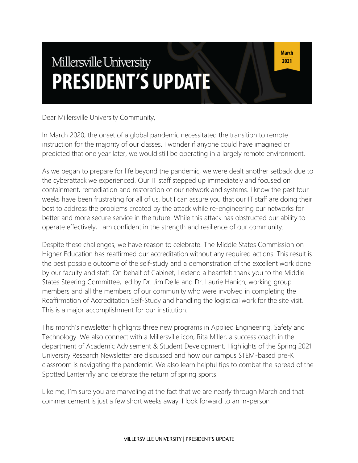# Millersville University **PRESIDENT'S UPDATE**

Dear Millersville University Community,

In March 2020, the onset of a global pandemic necessitated the transition to remote instruction for the majority of our classes. I wonder if anyone could have imagined or predicted that one year later, we would still be operating in a largely remote environment.

As we began to prepare for life beyond the pandemic, we were dealt another setback due to the cyberattack we experienced. Our IT staff stepped up immediately and focused on containment, remediation and restoration of our network and systems. I know the past four weeks have been frustrating for all of us, but I can assure you that our IT staff are doing their best to address the problems created by the attack while re-engineering our networks for better and more secure service in the future. While this attack has obstructed our ability to operate effectively, I am confident in the strength and resilience of our community.

Despite these challenges, we have reason to celebrate. The Middle States Commission on Higher Education has reaffirmed our accreditation without any required actions. This result is the best possible outcome of the self-study and a demonstration of the excellent work done by our faculty and staff. On behalf of Cabinet, I extend a heartfelt thank you to the Middle States Steering Committee, led by Dr. Jim Delle and Dr. Laurie Hanich, working group members and all the members of our community who were involved in completing the Reaffirmation of Accreditation Self-Study and handling the logistical work for the site visit. This is a major accomplishment for our institution.

This month's newsletter highlights three new programs in Applied Engineering, Safety and Technology. We also connect with a Millersville icon, Rita Miller, a success coach in the department of Academic Advisement & Student Development. Highlights of the Spring 2021 University Research Newsletter are discussed and how our campus STEM-based pre-K classroom is navigating the pandemic. We also learn helpful tips to combat the spread of the Spotted Lanternfly and celebrate the return of spring sports.

Like me, I'm sure you are marveling at the fact that we are nearly through March and that commencement is just a few short weeks away. I look forward to an in-person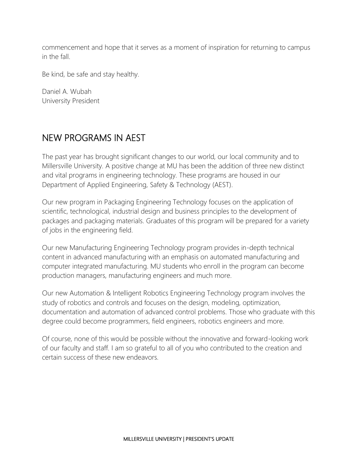commencement and hope that it serves as a moment of inspiration for returning to campus in the fall.

Be kind, be safe and stay healthy.

Daniel A. Wubah University President

### NEW PROGRAMS IN AEST

The past year has brought significant changes to our world, our local community and to Millersville University. A positive change at MU has been the addition of three new distinct and vital programs in engineering technology. These programs are housed in our Department of Applied Engineering, Safety & Technology (AEST).

Our new program in Packaging Engineering Technology focuses on the application of scientific, technological, industrial design and business principles to the development of packages and packaging materials. Graduates of this program will be prepared for a variety of jobs in the engineering field.

Our new Manufacturing Engineering Technology program provides in-depth technical content in advanced manufacturing with an emphasis on automated manufacturing and computer integrated manufacturing. MU students who enroll in the program can become production managers, manufacturing engineers and much more.

Our new Automation & Intelligent Robotics Engineering Technology program involves the study of robotics and controls and focuses on the design, modeling, optimization, documentation and automation of advanced control problems. Those who graduate with this degree could become programmers, field engineers, robotics engineers and more.

Of course, none of this would be possible without the innovative and forward-looking work of our faculty and staff. I am so grateful to all of you who contributed to the creation and certain success of these new endeavors.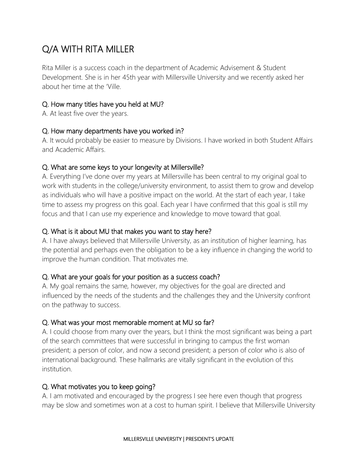## Q/A WITH RITA MILLER

Rita Miller is a success coach in the department of Academic Advisement & Student Development. She is in her 45th year with Millersville University and we recently asked her about her time at the 'Ville.

#### Q. How many titles have you held at MU?

A. At least five over the years.

#### Q. How many departments have you worked in?

A. It would probably be easier to measure by Divisions. I have worked in both Student Affairs and Academic Affairs.

#### Q. What are some keys to your longevity at Millersville?

A. Everything I've done over my years at Millersville has been central to my original goal to work with students in the college/university environment, to assist them to grow and develop as individuals who will have a positive impact on the world. At the start of each year, I take time to assess my progress on this goal. Each year I have confirmed that this goal is still my focus and that I can use my experience and knowledge to move toward that goal.

#### Q. What is it about MU that makes you want to stay here?

A. I have always believed that Millersville University, as an institution of higher learning, has the potential and perhaps even the obligation to be a key influence in changing the world to improve the human condition. That motivates me.

#### Q. What are your goals for your position as a success coach?

A. My goal remains the same, however, my objectives for the goal are directed and influenced by the needs of the students and the challenges they and the University confront on the pathway to success.

#### Q. What was your most memorable moment at MU so far?

A. I could choose from many over the years, but I think the most significant was being a part of the search committees that were successful in bringing to campus the first woman president; a person of color, and now a second president; a person of color who is also of international background. These hallmarks are vitally significant in the evolution of this institution.

#### Q. What motivates you to keep going?

A. I am motivated and encouraged by the progress I see here even though that progress may be slow and sometimes won at a cost to human spirit. I believe that Millersville University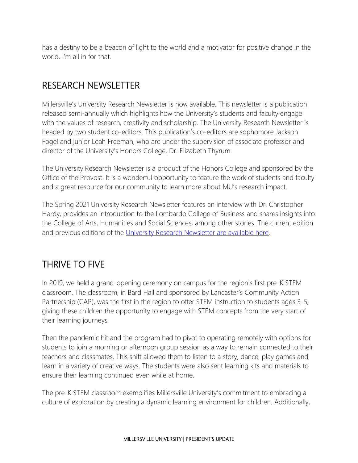has a destiny to be a beacon of light to the world and a motivator for positive change in the world. I'm all in for that.

## RESEARCH NEWSLETTER

Millersville's University Research Newsletter is now available. This newsletter is a publication released semi-annually which highlights how the University's students and faculty engage with the values of research, creativity and scholarship. The University Research Newsletter is headed by two student co-editors. This publication's co-editors are sophomore Jackson Fogel and junior Leah Freeman, who are under the supervision of associate professor and director of the University's Honors College, Dr. Elizabeth Thyrum.

The University Research Newsletter is a product of the Honors College and sponsored by the Office of the Provost. It is a wonderful opportunity to feature the work of students and faculty and a great resource for our community to learn more about MU's research impact.

The Spring 2021 University Research Newsletter features an interview with Dr. Christopher Hardy, provides an introduction to the Lombardo College of Business and shares insights into the College of Arts, Humanities and Social Sciences, among other stories. The current edition and previous editions of the [University Research Newsletter are available here.](https://www.millersville.edu/honorscollege/university-research-newsletter.php)

## THRIVE TO FIVE

In 2019, we held a grand-opening ceremony on campus for the region's first pre-K STEM classroom. The classroom, in Bard Hall and sponsored by Lancaster's Community Action Partnership (CAP), was the first in the region to offer STEM instruction to students ages 3-5, giving these children the opportunity to engage with STEM concepts from the very start of their learning journeys.

Then the pandemic hit and the program had to pivot to operating remotely with options for students to join a morning or afternoon group session as a way to remain connected to their teachers and classmates. This shift allowed them to listen to a story, dance, play games and learn in a variety of creative ways. The students were also sent learning kits and materials to ensure their learning continued even while at home.

The pre-K STEM classroom exemplifies Millersville University's commitment to embracing a culture of exploration by creating a dynamic learning environment for children. Additionally,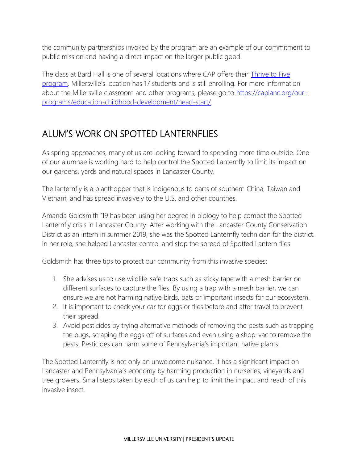the community partnerships invoked by the program are an example of our commitment to public mission and having a direct impact on the larger public good.

The class at Bard Hall is one of several locations where CAP offers their [Thrive to Five](https://caplanc.org/our-programs/education-childhood-development/head-start/)  [program](https://caplanc.org/our-programs/education-childhood-development/head-start/). Millersville's location has 17 students and is still enrolling. For more information about the Millersville classroom and other programs, please go to [https://caplanc.org/our](https://caplanc.org/our-programs/education-childhood-development/head-start/)[programs/education-childhood-development/head-start/.](https://caplanc.org/our-programs/education-childhood-development/head-start/)

## ALUM'S WORK ON SPOTTED LANTERNFLIES

As spring approaches, many of us are looking forward to spending more time outside. One of our alumnae is working hard to help control the Spotted Lanternfly to limit its impact on our gardens, yards and natural spaces in Lancaster County.

The lanternfly is a planthopper that is indigenous to parts of southern China, Taiwan and Vietnam, and has spread invasively to the U.S. and other countries.

Amanda Goldsmith '19 has been using her degree in biology to help combat the Spotted Lanternfly crisis in Lancaster County. After working with the Lancaster County Conservation District as an intern in summer 2019, she was the Spotted Lanternfly technician for the district. In her role, she helped Lancaster control and stop the spread of Spotted Lantern flies.

Goldsmith has three tips to protect our community from this invasive species:

- 1. She advises us to use wildlife-safe traps such as sticky tape with a mesh barrier on different surfaces to capture the flies. By using a trap with a mesh barrier, we can ensure we are not harming native birds, bats or important insects for our ecosystem.
- 2. It is important to check your car for eggs or flies before and after travel to prevent their spread.
- 3. Avoid pesticides by trying alternative methods of removing the pests such as trapping the bugs, scraping the eggs off of surfaces and even using a shop-vac to remove the pests. Pesticides can harm some of Pennsylvania's important native plants.

The Spotted Lanternfly is not only an unwelcome nuisance, it has a significant impact on Lancaster and Pennsylvania's economy by harming production in nurseries, vineyards and tree growers. Small steps taken by each of us can help to limit the impact and reach of this invasive insect.